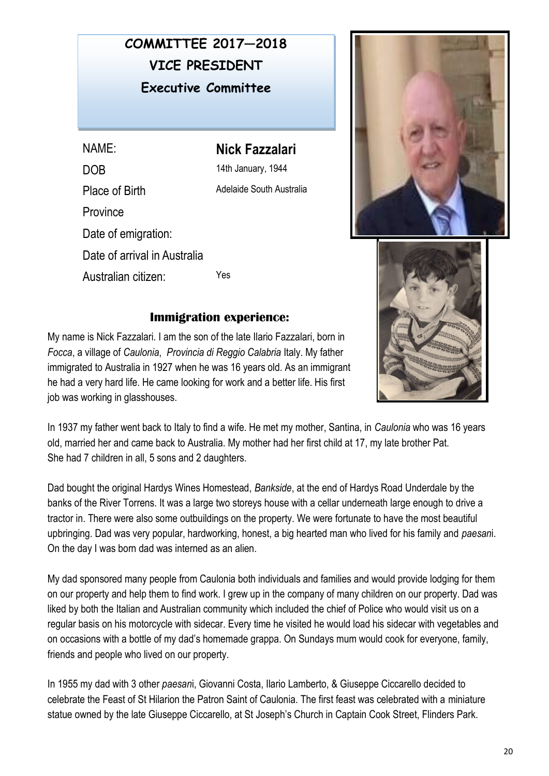## VICE PRESIDENT **COMMITTEE 2017—2018 Executive Committee**

NAME: **Nick Fazzalari**  DOB 14th January, 1944 Place of Birth Adelaide South Australia **Province** Date of emigration: Date of arrival in Australia Australian citizen: Yes





## **Immigration experience:**

My name is Nick Fazzalari. I am the son of the late Ilario Fazzalari, born in *Focca*, a village of *Caulonia*, *Provincia di Reggio Calabria* Italy. My father immigrated to Australia in 1927 when he was 16 years old. As an immigrant he had a very hard life. He came looking for work and a better life. His first job was working in glasshouses.

In 1937 my father went back to Italy to find a wife. He met my mother, Santina, in *Caulonia* who was 16 years old, married her and came back to Australia. My mother had her first child at 17, my late brother Pat. She had 7 children in all, 5 sons and 2 daughters.

Dad bought the original Hardys Wines Homestead, *Bankside*, at the end of Hardys Road Underdale by the banks of the River Torrens. It was a large two storeys house with a cellar underneath large enough to drive a tractor in. There were also some outbuildings on the property. We were fortunate to have the most beautiful upbringing. Dad was very popular, hardworking, honest, a big hearted man who lived for his family and *paesan*i. On the day I was born dad was interned as an alien.

My dad sponsored many people from Caulonia both individuals and families and would provide lodging for them on our property and help them to find work. I grew up in the company of many children on our property. Dad was liked by both the Italian and Australian community which included the chief of Police who would visit us on a regular basis on his motorcycle with sidecar. Every time he visited he would load his sidecar with vegetables and on occasions with a bottle of my dad's homemade grappa. On Sundays mum would cook for everyone, family, friends and people who lived on our property.

In 1955 my dad with 3 other *paesan*i, Giovanni Costa, Ilario Lamberto, & Giuseppe Ciccarello decided to celebrate the Feast of St Hilarion the Patron Saint of Caulonia. The first feast was celebrated with a miniature statue owned by the late Giuseppe Ciccarello, at St Joseph's Church in Captain Cook Street, Flinders Park.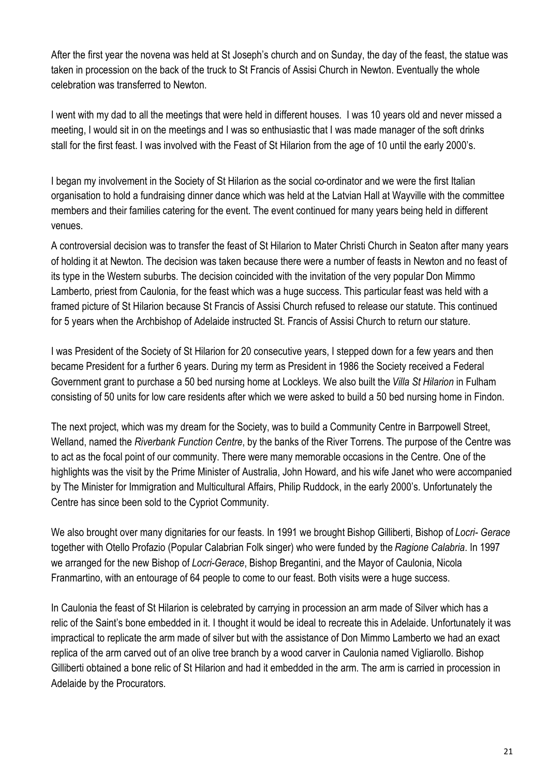After the first year the novena was held at St Joseph's church and on Sunday, the day of the feast, the statue was taken in procession on the back of the truck to St Francis of Assisi Church in Newton. Eventually the whole celebration was transferred to Newton.

I went with my dad to all the meetings that were held in different houses. I was 10 years old and never missed a meeting, I would sit in on the meetings and I was so enthusiastic that I was made manager of the soft drinks stall for the first feast. I was involved with the Feast of St Hilarion from the age of 10 until the early 2000's.

I began my involvement in the Society of St Hilarion as the social co-ordinator and we were the first Italian organisation to hold a fundraising dinner dance which was held at the Latvian Hall at Wayville with the committee members and their families catering for the event. The event continued for many years being held in different venues.

A controversial decision was to transfer the feast of St Hilarion to Mater Christi Church in Seaton after many years of holding it at Newton. The decision was taken because there were a number of feasts in Newton and no feast of its type in the Western suburbs. The decision coincided with the invitation of the very popular Don Mimmo Lamberto, priest from Caulonia, for the feast which was a huge success. This particular feast was held with a framed picture of St Hilarion because St Francis of Assisi Church refused to release our statute. This continued for 5 years when the Archbishop of Adelaide instructed St. Francis of Assisi Church to return our stature.

I was President of the Society of St Hilarion for 20 consecutive years, I stepped down for a few years and then became President for a further 6 years. During my term as President in 1986 the Society received a Federal Government grant to purchase a 50 bed nursing home at Lockleys. We also built the *Villa St Hilarion* in Fulham consisting of 50 units for low care residents after which we were asked to build a 50 bed nursing home in Findon.

The next project, which was my dream for the Society, was to build a Community Centre in Barrpowell Street, Welland, named the *Riverbank Function Centre*, by the banks of the River Torrens. The purpose of the Centre was to act as the focal point of our community. There were many memorable occasions in the Centre. One of the highlights was the visit by the Prime Minister of Australia, John Howard, and his wife Janet who were accompanied by The Minister for Immigration and Multicultural Affairs, Philip Ruddock, in the early 2000's. Unfortunately the Centre has since been sold to the Cypriot Community.

We also brought over many dignitaries for our feasts. In 1991 we brought Bishop Gilliberti, Bishop of *Locri- Gerace* together with Otello Profazio (Popular Calabrian Folk singer) who were funded by the *Ragione Calabria*. In 1997 we arranged for the new Bishop of *Locri-Gerace*, Bishop Bregantini, and the Mayor of Caulonia, Nicola Franmartino, with an entourage of 64 people to come to our feast. Both visits were a huge success.

In Caulonia the feast of St Hilarion is celebrated by carrying in procession an arm made of Silver which has a relic of the Saint's bone embedded in it. I thought it would be ideal to recreate this in Adelaide. Unfortunately it was impractical to replicate the arm made of silver but with the assistance of Don Mimmo Lamberto we had an exact replica of the arm carved out of an olive tree branch by a wood carver in Caulonia named Vigliarollo. Bishop Gilliberti obtained a bone relic of St Hilarion and had it embedded in the arm. The arm is carried in procession in Adelaide by the Procurators.